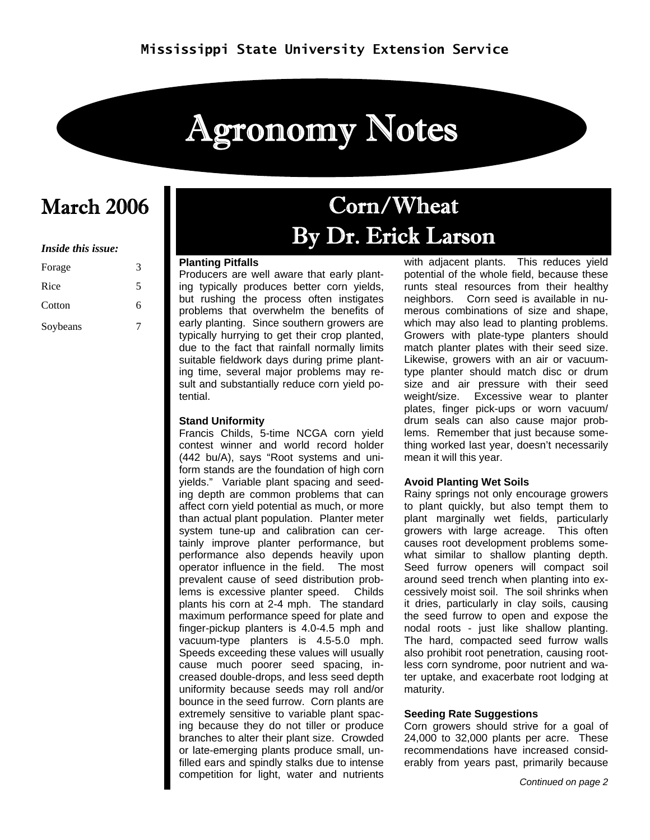# Agronomy Notes

#### *Inside this issue:*

| Forage   | 3 |
|----------|---|
| Rice     | 5 |
| Cotton   | 6 |
| Soybeans |   |

## March 2006 Corn/Wheat By Dr. Erick Larson

#### **Planting Pitfalls**

Producers are well aware that early planting typically produces better corn yields, but rushing the process often instigates problems that overwhelm the benefits of early planting. Since southern growers are typically hurrying to get their crop planted, due to the fact that rainfall normally limits suitable fieldwork days during prime planting time, several major problems may result and substantially reduce corn yield potential.

#### **Stand Uniformity**

Francis Childs, 5-time NCGA corn yield contest winner and world record holder (442 bu/A), says "Root systems and uniform stands are the foundation of high corn yields." Variable plant spacing and seeding depth are common problems that can affect corn yield potential as much, or more than actual plant population. Planter meter system tune-up and calibration can certainly improve planter performance, but performance also depends heavily upon operator influence in the field. The most prevalent cause of seed distribution problems is excessive planter speed. Childs plants his corn at 2-4 mph. The standard maximum performance speed for plate and finger-pickup planters is 4.0-4.5 mph and vacuum-type planters is 4.5-5.0 mph. Speeds exceeding these values will usually cause much poorer seed spacing, increased double-drops, and less seed depth uniformity because seeds may roll and/or bounce in the seed furrow. Corn plants are extremely sensitive to variable plant spacing because they do not tiller or produce branches to alter their plant size. Crowded or late-emerging plants produce small, unfilled ears and spindly stalks due to intense competition for light, water and nutrients

with adjacent plants. This reduces yield potential of the whole field, because these runts steal resources from their healthy neighbors. Corn seed is available in numerous combinations of size and shape, which may also lead to planting problems. Growers with plate-type planters should match planter plates with their seed size. Likewise, growers with an air or vacuumtype planter should match disc or drum size and air pressure with their seed weight/size. Excessive wear to planter plates, finger pick-ups or worn vacuum/ drum seals can also cause major problems. Remember that just because something worked last year, doesn't necessarily mean it will this year.

#### **Avoid Planting Wet Soils**

Rainy springs not only encourage growers to plant quickly, but also tempt them to plant marginally wet fields, particularly growers with large acreage. This often causes root development problems somewhat similar to shallow planting depth. Seed furrow openers will compact soil around seed trench when planting into excessively moist soil. The soil shrinks when it dries, particularly in clay soils, causing the seed furrow to open and expose the nodal roots - just like shallow planting. The hard, compacted seed furrow walls also prohibit root penetration, causing rootless corn syndrome, poor nutrient and water uptake, and exacerbate root lodging at maturity.

#### **Seeding Rate Suggestions**

Corn growers should strive for a goal of 24,000 to 32,000 plants per acre. These recommendations have increased considerably from years past, primarily because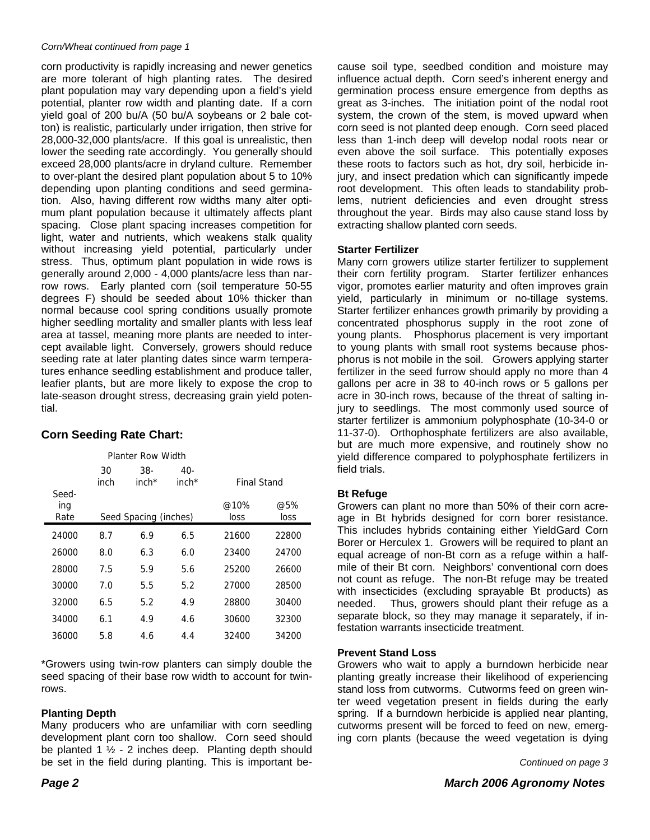#### *Corn/Wheat continued from page 1*

corn productivity is rapidly increasing and newer genetics are more tolerant of high planting rates. The desired plant population may vary depending upon a field's yield potential, planter row width and planting date. If a corn yield goal of 200 bu/A (50 bu/A soybeans or 2 bale cotton) is realistic, particularly under irrigation, then strive for 28,000-32,000 plants/acre. If this goal is unrealistic, then lower the seeding rate accordingly. You generally should exceed 28,000 plants/acre in dryland culture. Remember to over-plant the desired plant population about 5 to 10% depending upon planting conditions and seed germination. Also, having different row widths many alter optimum plant population because it ultimately affects plant spacing. Close plant spacing increases competition for light, water and nutrients, which weakens stalk quality without increasing yield potential, particularly under stress. Thus, optimum plant population in wide rows is generally around 2,000 - 4,000 plants/acre less than narrow rows. Early planted corn (soil temperature 50-55 degrees F) should be seeded about 10% thicker than normal because cool spring conditions usually promote higher seedling mortality and smaller plants with less leaf area at tassel, meaning more plants are needed to intercept available light. Conversely, growers should reduce seeding rate at later planting dates since warm temperatures enhance seedling establishment and produce taller, leafier plants, but are more likely to expose the crop to late-season drought stress, decreasing grain yield potential.

### **Corn Seeding Rate Chart:**

Planter Row Width

|                                               | 30<br>inch | 38-<br>$inch*$ | 40-<br>$inch*$ | <b>Final Stand</b> |             |
|-----------------------------------------------|------------|----------------|----------------|--------------------|-------------|
| Seed-<br>ing<br>Seed Spacing (inches)<br>Rate |            |                |                | @10%<br>loss       | @5%<br>loss |
| 24000                                         | 8.7        | 6.9            | 6.5            | 21600              | 22800       |
| 26000                                         | 8.0        | 6.3            | 6.0            | 23400              | 24700       |
| 28000                                         | 7.5        | 5.9            | 5.6            | 25200              | 26600       |
| 30000                                         | 7.0        | 5.5            | 5.2            | 27000              | 28500       |
| 32000                                         | 6.5        | 5.2            | 4.9            | 28800              | 30400       |
| 34000                                         | 6.1        | 4.9            | 4.6            | 30600              | 32300       |
| 36000                                         | 5.8        | 4.6            | 4.4            | 32400              | 34200       |

\*Growers using twin-row planters can simply double the seed spacing of their base row width to account for twinrows.

#### **Planting Depth**

Many producers who are unfamiliar with corn seedling development plant corn too shallow. Corn seed should be planted 1  $\frac{1}{2}$  - 2 inches deep. Planting depth should be set in the field during planting. This is important be-

cause soil type, seedbed condition and moisture may influence actual depth. Corn seed's inherent energy and germination process ensure emergence from depths as great as 3-inches. The initiation point of the nodal root system, the crown of the stem, is moved upward when corn seed is not planted deep enough. Corn seed placed less than 1-inch deep will develop nodal roots near or even above the soil surface. This potentially exposes these roots to factors such as hot, dry soil, herbicide injury, and insect predation which can significantly impede root development. This often leads to standability problems, nutrient deficiencies and even drought stress throughout the year. Birds may also cause stand loss by extracting shallow planted corn seeds.

#### **Starter Fertilizer**

Many corn growers utilize starter fertilizer to supplement their corn fertility program. Starter fertilizer enhances vigor, promotes earlier maturity and often improves grain yield, particularly in minimum or no-tillage systems. Starter fertilizer enhances growth primarily by providing a concentrated phosphorus supply in the root zone of young plants. Phosphorus placement is very important to young plants with small root systems because phosphorus is not mobile in the soil. Growers applying starter fertilizer in the seed furrow should apply no more than 4 gallons per acre in 38 to 40-inch rows or 5 gallons per acre in 30-inch rows, because of the threat of salting injury to seedlings. The most commonly used source of starter fertilizer is ammonium polyphosphate (10-34-0 or 11-37-0). Orthophosphate fertilizers are also available, but are much more expensive, and routinely show no yield difference compared to polyphosphate fertilizers in field trials.

#### **Bt Refuge**

Growers can plant no more than 50% of their corn acreage in Bt hybrids designed for corn borer resistance. This includes hybrids containing either YieldGard Corn Borer or Herculex 1. Growers will be required to plant an equal acreage of non-Bt corn as a refuge within a halfmile of their Bt corn. Neighbors' conventional corn does not count as refuge. The non-Bt refuge may be treated with insecticides (excluding sprayable Bt products) as needed. Thus, growers should plant their refuge as a separate block, so they may manage it separately, if infestation warrants insecticide treatment.

#### **Prevent Stand Loss**

Growers who wait to apply a burndown herbicide near planting greatly increase their likelihood of experiencing stand loss from cutworms. Cutworms feed on green winter weed vegetation present in fields during the early spring. If a burndown herbicide is applied near planting, cutworms present will be forced to feed on new, emerging corn plants (because the weed vegetation is dying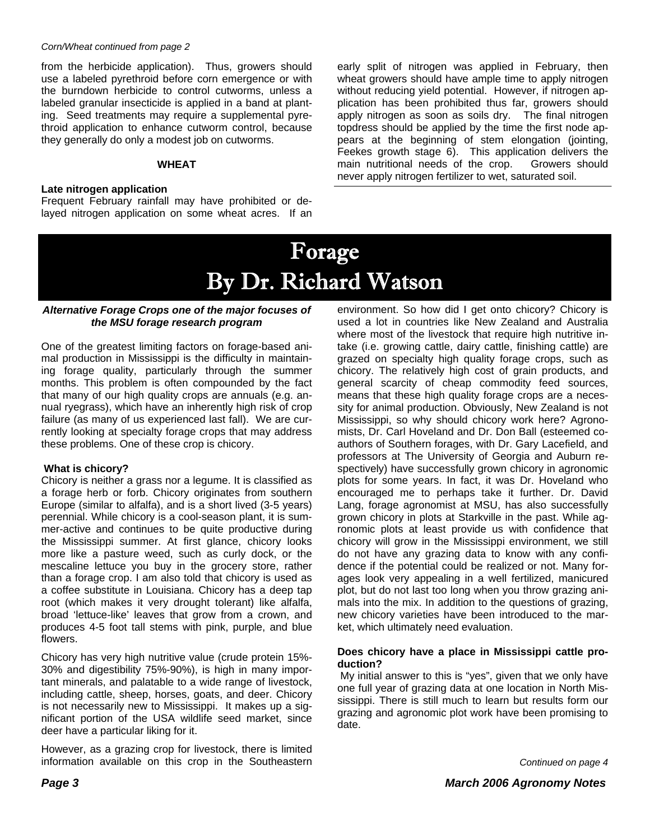#### *Corn/Wheat continued from page 2*

from the herbicide application). Thus, growers should use a labeled pyrethroid before corn emergence or with the burndown herbicide to control cutworms, unless a labeled granular insecticide is applied in a band at planting. Seed treatments may require a supplemental pyrethroid application to enhance cutworm control, because they generally do only a modest job on cutworms.

#### **WHEAT**

#### **Late nitrogen application**

Frequent February rainfall may have prohibited or delayed nitrogen application on some wheat acres. If an early split of nitrogen was applied in February, then wheat growers should have ample time to apply nitrogen without reducing yield potential. However, if nitrogen application has been prohibited thus far, growers should apply nitrogen as soon as soils dry. The final nitrogen topdress should be applied by the time the first node appears at the beginning of stem elongation (jointing, Feekes growth stage 6). This application delivers the main nutritional needs of the crop. Growers should never apply nitrogen fertilizer to wet, saturated soil.

### Forage By Dr. Richard Watson

I

#### *Alternative Forage Crops one of the major focuses of the MSU forage research program*

One of the greatest limiting factors on forage-based animal production in Mississippi is the difficulty in maintaining forage quality, particularly through the summer months. This problem is often compounded by the fact that many of our high quality crops are annuals (e.g. annual ryegrass), which have an inherently high risk of crop failure (as many of us experienced last fall). We are currently looking at specialty forage crops that may address these problems. One of these crop is chicory.

#### **What is chicory?**

Chicory is neither a grass nor a legume. It is classified as a forage herb or forb. Chicory originates from southern Europe (similar to alfalfa), and is a short lived (3-5 years) perennial. While chicory is a cool-season plant, it is summer-active and continues to be quite productive during the Mississippi summer. At first glance, chicory looks more like a pasture weed, such as curly dock, or the mescaline lettuce you buy in the grocery store, rather than a forage crop. I am also told that chicory is used as a coffee substitute in Louisiana. Chicory has a deep tap root (which makes it very drought tolerant) like alfalfa, broad 'lettuce-like' leaves that grow from a crown, and produces 4-5 foot tall stems with pink, purple, and blue flowers.

Chicory has very high nutritive value (crude protein 15%- 30% and digestibility 75%-90%), is high in many important minerals, and palatable to a wide range of livestock, including cattle, sheep, horses, goats, and deer. Chicory is not necessarily new to Mississippi. It makes up a significant portion of the USA wildlife seed market, since deer have a particular liking for it.

However, as a grazing crop for livestock, there is limited information available on this crop in the Southeastern

environment. So how did I get onto chicory? Chicory is used a lot in countries like New Zealand and Australia where most of the livestock that require high nutritive intake (i.e. growing cattle, dairy cattle, finishing cattle) are grazed on specialty high quality forage crops, such as chicory. The relatively high cost of grain products, and general scarcity of cheap commodity feed sources, means that these high quality forage crops are a necessity for animal production. Obviously, New Zealand is not Mississippi, so why should chicory work here? Agronomists, Dr. Carl Hoveland and Dr. Don Ball (esteemed coauthors of Southern forages, with Dr. Gary Lacefield, and professors at The University of Georgia and Auburn respectively) have successfully grown chicory in agronomic plots for some years. In fact, it was Dr. Hoveland who encouraged me to perhaps take it further. Dr. David Lang, forage agronomist at MSU, has also successfully grown chicory in plots at Starkville in the past. While agronomic plots at least provide us with confidence that chicory will grow in the Mississippi environment, we still do not have any grazing data to know with any confidence if the potential could be realized or not. Many forages look very appealing in a well fertilized, manicured plot, but do not last too long when you throw grazing animals into the mix. In addition to the questions of grazing, new chicory varieties have been introduced to the market, which ultimately need evaluation.

#### **Does chicory have a place in Mississippi cattle production?**

 My initial answer to this is "yes", given that we only have one full year of grazing data at one location in North Mississippi. There is still much to learn but results form our grazing and agronomic plot work have been promising to date.

*Continued on page 4*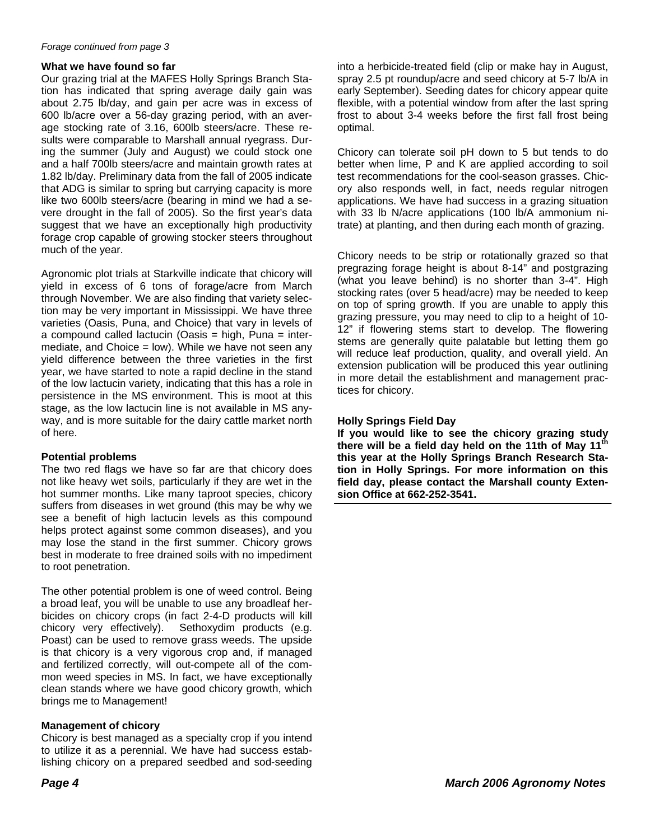#### *Forage continued from page 3*

#### **What we have found so far**

Our grazing trial at the MAFES Holly Springs Branch Station has indicated that spring average daily gain was about 2.75 lb/day, and gain per acre was in excess of 600 lb/acre over a 56-day grazing period, with an average stocking rate of 3.16, 600lb steers/acre. These results were comparable to Marshall annual ryegrass. During the summer (July and August) we could stock one and a half 700lb steers/acre and maintain growth rates at 1.82 lb/day. Preliminary data from the fall of 2005 indicate that ADG is similar to spring but carrying capacity is more like two 600lb steers/acre (bearing in mind we had a severe drought in the fall of 2005). So the first year's data suggest that we have an exceptionally high productivity forage crop capable of growing stocker steers throughout much of the year.

Agronomic plot trials at Starkville indicate that chicory will yield in excess of 6 tons of forage/acre from March through November. We are also finding that variety selection may be very important in Mississippi. We have three varieties (Oasis, Puna, and Choice) that vary in levels of a compound called lactucin (Oasis = high, Puna = intermediate, and Choice  $=$  low). While we have not seen any yield difference between the three varieties in the first year, we have started to note a rapid decline in the stand of the low lactucin variety, indicating that this has a role in persistence in the MS environment. This is moot at this stage, as the low lactucin line is not available in MS anyway, and is more suitable for the dairy cattle market north of here.

#### **Potential problems**

The two red flags we have so far are that chicory does not like heavy wet soils, particularly if they are wet in the hot summer months. Like many taproot species, chicory suffers from diseases in wet ground (this may be why we see a benefit of high lactucin levels as this compound helps protect against some common diseases), and you may lose the stand in the first summer. Chicory grows best in moderate to free drained soils with no impediment to root penetration.

The other potential problem is one of weed control. Being a broad leaf, you will be unable to use any broadleaf herbicides on chicory crops (in fact 2-4-D products will kill chicory very effectively). Sethoxydim products (e.g. Poast) can be used to remove grass weeds. The upside is that chicory is a very vigorous crop and, if managed and fertilized correctly, will out-compete all of the common weed species in MS. In fact, we have exceptionally clean stands where we have good chicory growth, which brings me to Management!

#### **Management of chicory**

Chicory is best managed as a specialty crop if you intend to utilize it as a perennial. We have had success establishing chicory on a prepared seedbed and sod-seeding

into a herbicide-treated field (clip or make hay in August, spray 2.5 pt roundup/acre and seed chicory at 5-7 lb/A in early September). Seeding dates for chicory appear quite flexible, with a potential window from after the last spring frost to about 3-4 weeks before the first fall frost being optimal.

Chicory can tolerate soil pH down to 5 but tends to do better when lime, P and K are applied according to soil test recommendations for the cool-season grasses. Chicory also responds well, in fact, needs regular nitrogen applications. We have had success in a grazing situation with 33 lb N/acre applications (100 lb/A ammonium nitrate) at planting, and then during each month of grazing.

Chicory needs to be strip or rotationally grazed so that pregrazing forage height is about 8-14" and postgrazing (what you leave behind) is no shorter than 3-4". High stocking rates (over 5 head/acre) may be needed to keep on top of spring growth. If you are unable to apply this grazing pressure, you may need to clip to a height of 10- 12" if flowering stems start to develop. The flowering stems are generally quite palatable but letting them go will reduce leaf production, quality, and overall yield. An extension publication will be produced this year outlining in more detail the establishment and management practices for chicory.

#### **Holly Springs Field Day**

**If you would like to see the chicory grazing study**  there will be a field day held on the 11th of May 11<sup>th</sup> **this year at the Holly Springs Branch Research Station in Holly Springs. For more information on this field day, please contact the Marshall county Extension Office at 662-252-3541.**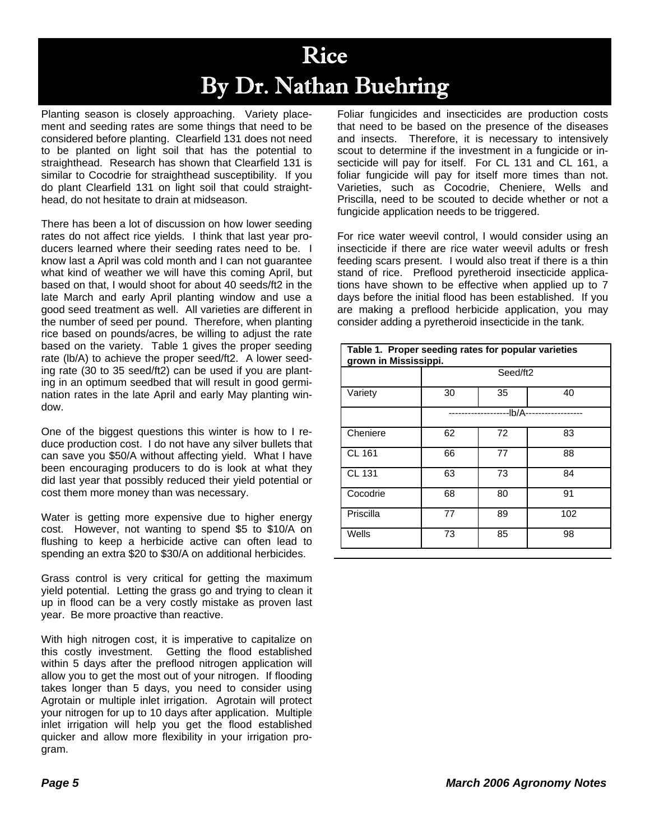### Rice By Dr. Nathan Buehring

Planting season is closely approaching. Variety placement and seeding rates are some things that need to be considered before planting. Clearfield 131 does not need to be planted on light soil that has the potential to straighthead. Research has shown that Clearfield 131 is similar to Cocodrie for straighthead susceptibility. If you do plant Clearfield 131 on light soil that could straighthead, do not hesitate to drain at midseason.

There has been a lot of discussion on how lower seeding rates do not affect rice yields. I think that last year producers learned where their seeding rates need to be. I know last a April was cold month and I can not guarantee what kind of weather we will have this coming April, but based on that, I would shoot for about 40 seeds/ft2 in the late March and early April planting window and use a good seed treatment as well. All varieties are different in the number of seed per pound. Therefore, when planting rice based on pounds/acres, be willing to adjust the rate based on the variety. Table 1 gives the proper seeding rate (lb/A) to achieve the proper seed/ft2. A lower seeding rate (30 to 35 seed/ft2) can be used if you are planting in an optimum seedbed that will result in good germination rates in the late April and early May planting window.

One of the biggest questions this winter is how to I reduce production cost. I do not have any silver bullets that can save you \$50/A without affecting yield. What I have been encouraging producers to do is look at what they did last year that possibly reduced their yield potential or cost them more money than was necessary.

Water is getting more expensive due to higher energy cost. However, not wanting to spend \$5 to \$10/A on flushing to keep a herbicide active can often lead to spending an extra \$20 to \$30/A on additional herbicides.

Grass control is very critical for getting the maximum yield potential. Letting the grass go and trying to clean it up in flood can be a very costly mistake as proven last year. Be more proactive than reactive.

With high nitrogen cost, it is imperative to capitalize on this costly investment. Getting the flood established within 5 days after the preflood nitrogen application will allow you to get the most out of your nitrogen. If flooding takes longer than 5 days, you need to consider using Agrotain or multiple inlet irrigation. Agrotain will protect your nitrogen for up to 10 days after application. Multiple inlet irrigation will help you get the flood established quicker and allow more flexibility in your irrigation program.

Foliar fungicides and insecticides are production costs that need to be based on the presence of the diseases and insects. Therefore, it is necessary to intensively scout to determine if the investment in a fungicide or insecticide will pay for itself. For CL 131 and CL 161, a foliar fungicide will pay for itself more times than not. Varieties, such as Cocodrie, Cheniere, Wells and Priscilla, need to be scouted to decide whether or not a fungicide application needs to be triggered.

For rice water weevil control, I would consider using an insecticide if there are rice water weevil adults or fresh feeding scars present. I would also treat if there is a thin stand of rice. Preflood pyretheroid insecticide applications have shown to be effective when applied up to 7 days before the initial flood has been established. If you are making a preflood herbicide application, you may consider adding a pyretheroid insecticide in the tank.

| Table 1. Proper seeding rates for popular varieties<br>grown in Mississippi. |          |          |     |  |
|------------------------------------------------------------------------------|----------|----------|-----|--|
|                                                                              | Seed/ft2 |          |     |  |
| Variety                                                                      | 30       | 35       | 40  |  |
|                                                                              |          | $-lb/A-$ |     |  |
| Cheniere                                                                     | 62       | 72       | 83  |  |
| CL 161                                                                       | 66       | 77       | 88  |  |
| <b>CL 131</b>                                                                | 63       | 73       | 84  |  |
| Cocodrie                                                                     | 68       | 80       | 91  |  |
| Priscilla                                                                    | 77       | 89       | 102 |  |
| Wells                                                                        | 73       | 85       | 98  |  |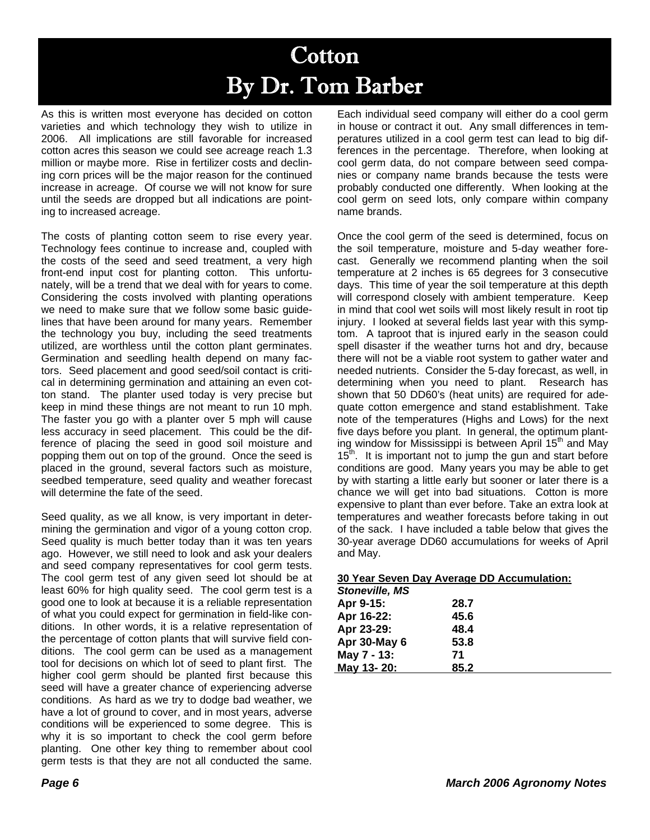### **Cotton** By Dr. Tom Barber

As this is written most everyone has decided on cotton varieties and which technology they wish to utilize in 2006. All implications are still favorable for increased cotton acres this season we could see acreage reach 1.3 million or maybe more. Rise in fertilizer costs and declining corn prices will be the major reason for the continued increase in acreage. Of course we will not know for sure until the seeds are dropped but all indications are pointing to increased acreage.

The costs of planting cotton seem to rise every year. Technology fees continue to increase and, coupled with the costs of the seed and seed treatment, a very high front-end input cost for planting cotton. This unfortunately, will be a trend that we deal with for years to come. Considering the costs involved with planting operations we need to make sure that we follow some basic guidelines that have been around for many years. Remember the technology you buy, including the seed treatments utilized, are worthless until the cotton plant germinates. Germination and seedling health depend on many factors. Seed placement and good seed/soil contact is critical in determining germination and attaining an even cotton stand. The planter used today is very precise but keep in mind these things are not meant to run 10 mph. The faster you go with a planter over 5 mph will cause less accuracy in seed placement. This could be the difference of placing the seed in good soil moisture and popping them out on top of the ground. Once the seed is placed in the ground, several factors such as moisture, seedbed temperature, seed quality and weather forecast will determine the fate of the seed.

Seed quality, as we all know, is very important in determining the germination and vigor of a young cotton crop. Seed quality is much better today than it was ten years ago. However, we still need to look and ask your dealers and seed company representatives for cool germ tests. The cool germ test of any given seed lot should be at least 60% for high quality seed. The cool germ test is a good one to look at because it is a reliable representation of what you could expect for germination in field-like conditions. In other words, it is a relative representation of the percentage of cotton plants that will survive field conditions. The cool germ can be used as a management tool for decisions on which lot of seed to plant first. The higher cool germ should be planted first because this seed will have a greater chance of experiencing adverse conditions. As hard as we try to dodge bad weather, we have a lot of ground to cover, and in most years, adverse conditions will be experienced to some degree. This is why it is so important to check the cool germ before planting. One other key thing to remember about cool germ tests is that they are not all conducted the same.

Each individual seed company will either do a cool germ in house or contract it out. Any small differences in temperatures utilized in a cool germ test can lead to big differences in the percentage. Therefore, when looking at cool germ data, do not compare between seed companies or company name brands because the tests were probably conducted one differently. When looking at the cool germ on seed lots, only compare within company name brands.

Once the cool germ of the seed is determined, focus on the soil temperature, moisture and 5-day weather forecast. Generally we recommend planting when the soil temperature at 2 inches is 65 degrees for 3 consecutive days. This time of year the soil temperature at this depth will correspond closely with ambient temperature. Keep in mind that cool wet soils will most likely result in root tip injury. I looked at several fields last year with this symptom. A taproot that is injured early in the season could spell disaster if the weather turns hot and dry, because there will not be a viable root system to gather water and needed nutrients. Consider the 5-day forecast, as well, in determining when you need to plant. Research has shown that 50 DD60's (heat units) are required for adequate cotton emergence and stand establishment. Take note of the temperatures (Highs and Lows) for the next five days before you plant. In general, the optimum planting window for Mississippi is between April 15<sup>th</sup> and May  $15<sup>th</sup>$ . It is important not to jump the gun and start before conditions are good. Many years you may be able to get by with starting a little early but sooner or later there is a chance we will get into bad situations. Cotton is more expensive to plant than ever before. Take an extra look at temperatures and weather forecasts before taking in out of the sack. I have included a table below that gives the 30-year average DD60 accumulations for weeks of April and May.

| 30 Year Seven Day Average DD Accumulation: |      |  |  |  |
|--------------------------------------------|------|--|--|--|
| <b>Stoneville, MS</b>                      |      |  |  |  |
| Apr 9-15:                                  | 28.7 |  |  |  |
| Apr 16-22:                                 | 45.6 |  |  |  |
| Apr 23-29:                                 | 48.4 |  |  |  |
| Apr 30-May 6                               | 53.8 |  |  |  |
| May 7 - 13:                                | 71   |  |  |  |
| May 13-20:                                 | 85.2 |  |  |  |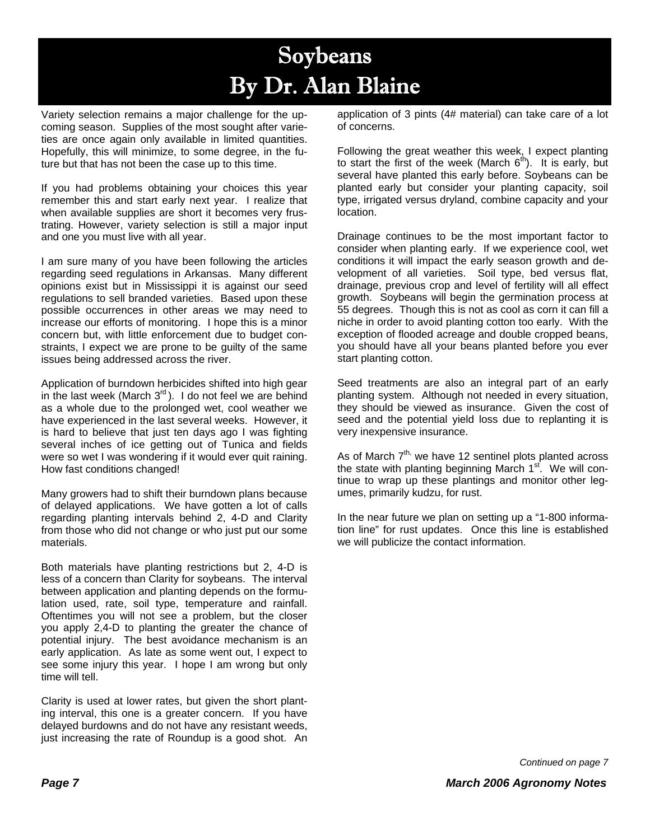### Soybeans By Dr. Alan Blaine

Variety selection remains a major challenge for the upcoming season. Supplies of the most sought after varieties are once again only available in limited quantities. Hopefully, this will minimize, to some degree, in the future but that has not been the case up to this time.

If you had problems obtaining your choices this year remember this and start early next year. I realize that when available supplies are short it becomes very frustrating. However, variety selection is still a major input and one you must live with all year.

I am sure many of you have been following the articles regarding seed regulations in Arkansas. Many different opinions exist but in Mississippi it is against our seed regulations to sell branded varieties. Based upon these possible occurrences in other areas we may need to increase our efforts of monitoring. I hope this is a minor concern but, with little enforcement due to budget constraints, I expect we are prone to be guilty of the same issues being addressed across the river.

Application of burndown herbicides shifted into high gear in the last week (March  $3^{rd}$ ). I do not feel we are behind as a whole due to the prolonged wet, cool weather we have experienced in the last several weeks. However, it is hard to believe that just ten days ago I was fighting several inches of ice getting out of Tunica and fields were so wet I was wondering if it would ever quit raining. How fast conditions changed!

Many growers had to shift their burndown plans because of delayed applications. We have gotten a lot of calls regarding planting intervals behind 2, 4-D and Clarity from those who did not change or who just put our some materials.

Both materials have planting restrictions but 2, 4-D is less of a concern than Clarity for soybeans. The interval between application and planting depends on the formulation used, rate, soil type, temperature and rainfall. Oftentimes you will not see a problem, but the closer you apply 2,4-D to planting the greater the chance of potential injury. The best avoidance mechanism is an early application. As late as some went out, I expect to see some injury this year. I hope I am wrong but only time will tell.

Clarity is used at lower rates, but given the short planting interval, this one is a greater concern. If you have delayed burdowns and do not have any resistant weeds, just increasing the rate of Roundup is a good shot. An application of 3 pints (4# material) can take care of a lot of concerns.

Following the great weather this week, I expect planting to start the first of the week (March  $6<sup>th</sup>$ ). It is early, but several have planted this early before. Soybeans can be planted early but consider your planting capacity, soil type, irrigated versus dryland, combine capacity and your location.

Drainage continues to be the most important factor to consider when planting early. If we experience cool, wet conditions it will impact the early season growth and development of all varieties. Soil type, bed versus flat, drainage, previous crop and level of fertility will all effect growth. Soybeans will begin the germination process at 55 degrees. Though this is not as cool as corn it can fill a niche in order to avoid planting cotton too early. With the exception of flooded acreage and double cropped beans, you should have all your beans planted before you ever start planting cotton.

Seed treatments are also an integral part of an early planting system. Although not needed in every situation, they should be viewed as insurance. Given the cost of seed and the potential yield loss due to replanting it is very inexpensive insurance.

As of March  $7<sup>th</sup>$ , we have 12 sentinel plots planted across the state with planting beginning March  $1<sup>st</sup>$ . We will continue to wrap up these plantings and monitor other legumes, primarily kudzu, for rust.

In the near future we plan on setting up a "1-800 information line" for rust updates. Once this line is established we will publicize the contact information.

*Continued on page 7*